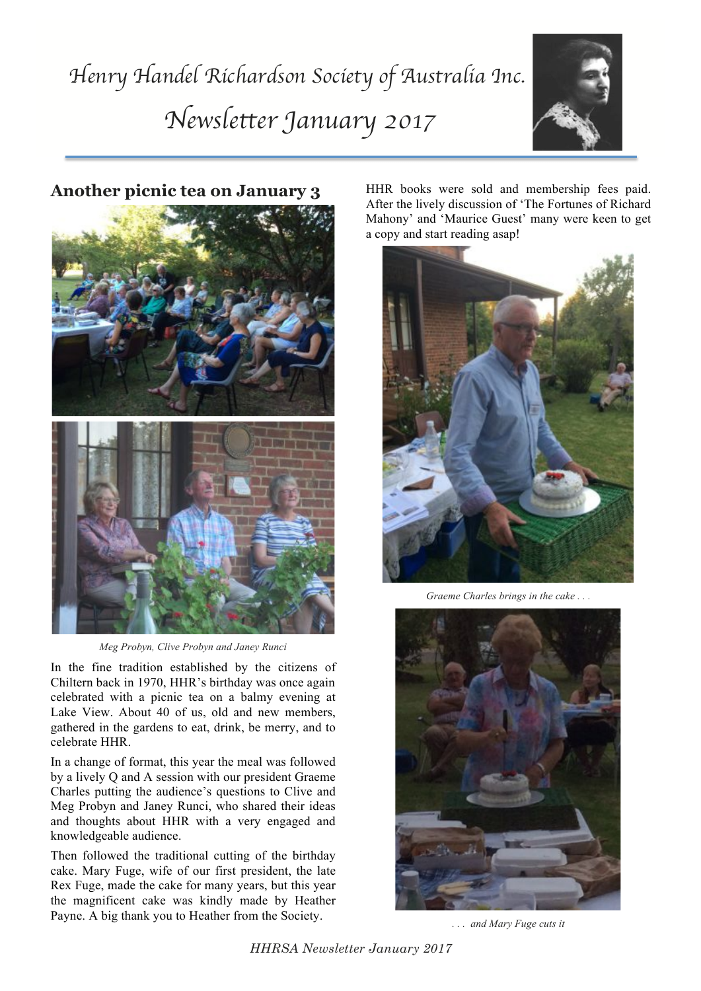# *Henry Handel Richardson Society of Australia Inc. Newsletter January 2017*





**Another picnic tea on January 3**

*Meg Probyn, Clive Probyn and Janey Runci*

In the fine tradition established by the citizens of Chiltern back in 1970, HHR's birthday was once again celebrated with a picnic tea on a balmy evening at Lake View. About 40 of us, old and new members, gathered in the gardens to eat, drink, be merry, and to celebrate HHR.

In a change of format, this year the meal was followed by a lively Q and A session with our president Graeme Charles putting the audience's questions to Clive and Meg Probyn and Janey Runci, who shared their ideas and thoughts about HHR with a very engaged and knowledgeable audience.

Then followed the traditional cutting of the birthday cake. Mary Fuge, wife of our first president, the late Rex Fuge, made the cake for many years, but this year the magnificent cake was kindly made by Heather Payne. A big thank you to Heather from the Society.

HHR books were sold and membership fees paid. After the lively discussion of 'The Fortunes of Richard Mahony' and 'Maurice Guest' many were keen to get a copy and start reading asap!



*Graeme Charles brings in the cake . . .*



*. . . and Mary Fuge cuts it*

*HHRSA Newsletter January 2017*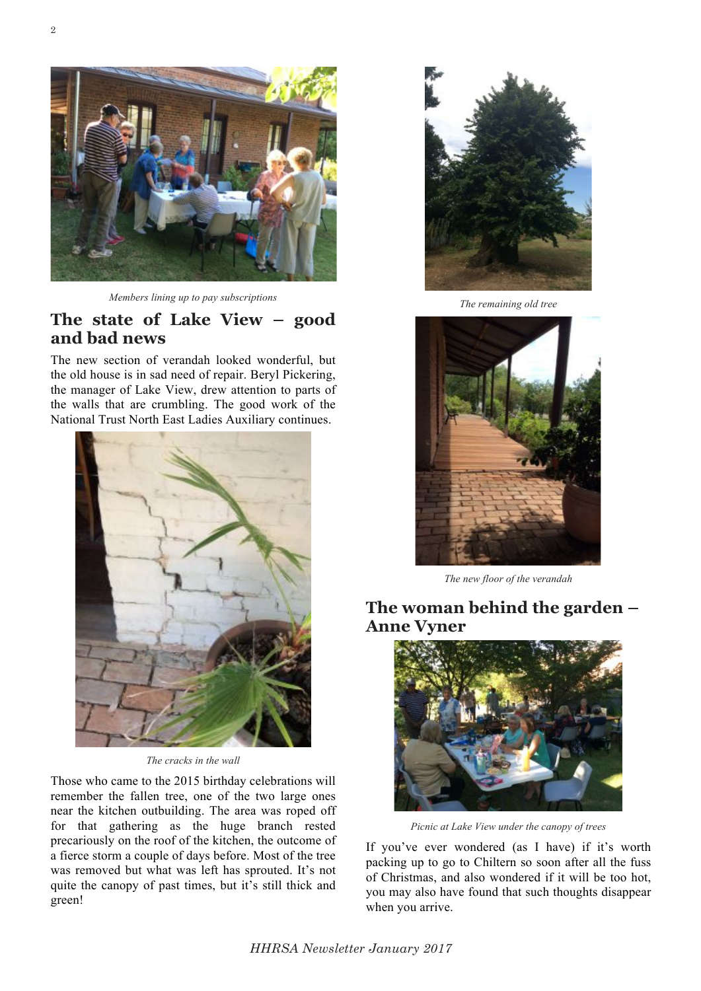

*Members lining up to pay subscriptions*

## **The state of Lake View – good and bad news**

The new section of verandah looked wonderful, but the old house is in sad need of repair. Beryl Pickering, the manager of Lake View, drew attention to parts of the walls that are crumbling. The good work of the National Trust North East Ladies Auxiliary continues.



*The cracks in the wall*

Those who came to the 2015 birthday celebrations will remember the fallen tree, one of the two large ones near the kitchen outbuilding. The area was roped off for that gathering as the huge branch rested precariously on the roof of the kitchen, the outcome of a fierce storm a couple of days before. Most of the tree was removed but what was left has sprouted. It's not quite the canopy of past times, but it's still thick and green!



*The remaining old tree*



*The new floor of the verandah*

## **The woman behind the garden – Anne Vyner**



*Picnic at Lake View under the canopy of trees*

If you've ever wondered (as I have) if it's worth packing up to go to Chiltern so soon after all the fuss of Christmas, and also wondered if it will be too hot, you may also have found that such thoughts disappear when you arrive.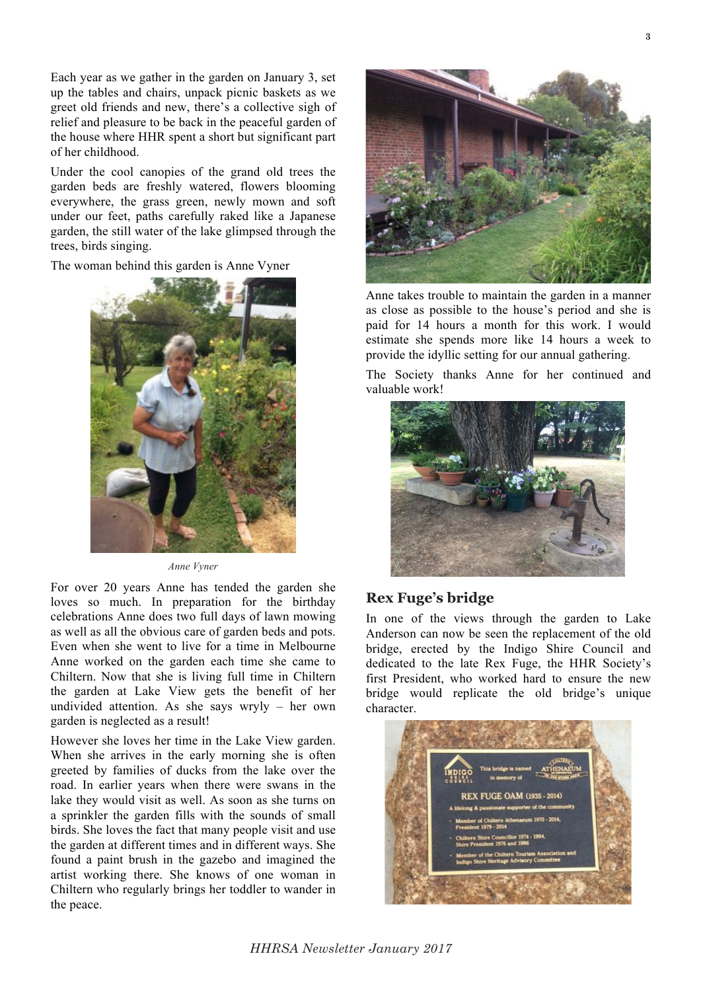Each year as we gather in the garden on January 3, set up the tables and chairs, unpack picnic baskets as we greet old friends and new, there's a collective sigh of relief and pleasure to be back in the peaceful garden of the house where HHR spent a short but significant part of her childhood.

Under the cool canopies of the grand old trees the garden beds are freshly watered, flowers blooming everywhere, the grass green, newly mown and soft under our feet, paths carefully raked like a Japanese garden, the still water of the lake glimpsed through the trees, birds singing.

The woman behind this garden is Anne Vyner



*Anne Vyner*

For over 20 years Anne has tended the garden she loves so much. In preparation for the birthday celebrations Anne does two full days of lawn mowing as well as all the obvious care of garden beds and pots. Even when she went to live for a time in Melbourne Anne worked on the garden each time she came to Chiltern. Now that she is living full time in Chiltern the garden at Lake View gets the benefit of her undivided attention. As she says wryly – her own garden is neglected as a result!

However she loves her time in the Lake View garden. When she arrives in the early morning she is often greeted by families of ducks from the lake over the road. In earlier years when there were swans in the lake they would visit as well. As soon as she turns on a sprinkler the garden fills with the sounds of small birds. She loves the fact that many people visit and use the garden at different times and in different ways. She found a paint brush in the gazebo and imagined the artist working there. She knows of one woman in Chiltern who regularly brings her toddler to wander in the peace.



Anne takes trouble to maintain the garden in a manner as close as possible to the house's period and she is paid for 14 hours a month for this work. I would estimate she spends more like 14 hours a week to provide the idyllic setting for our annual gathering.

The Society thanks Anne for her continued and valuable work!



## **Rex Fuge's bridge**

In one of the views through the garden to Lake Anderson can now be seen the replacement of the old bridge, erected by the Indigo Shire Council and dedicated to the late Rex Fuge, the HHR Society's first President, who worked hard to ensure the new bridge would replicate the old bridge's unique character.

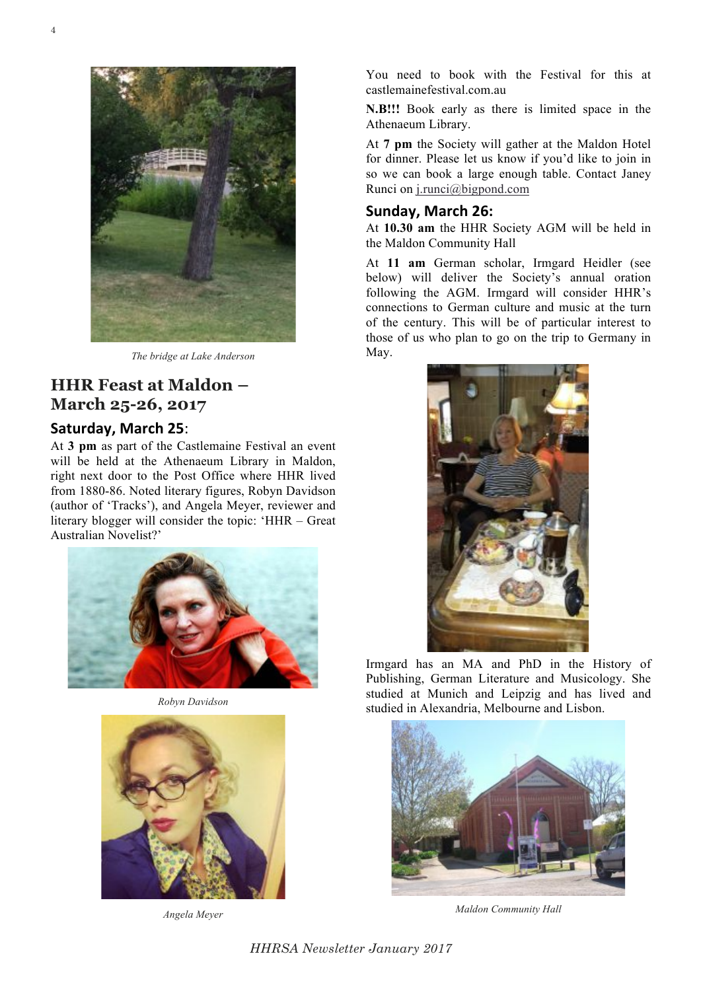

*The bridge at Lake Anderson*

## **HHR Feast at Maldon – March 25-26, 2017**

#### **Saturday, March 25:**

At **3 pm** as part of the Castlemaine Festival an event will be held at the Athenaeum Library in Maldon, right next door to the Post Office where HHR lived from 1880-86. Noted literary figures, Robyn Davidson (author of 'Tracks'), and Angela Meyer, reviewer and literary blogger will consider the topic: 'HHR – Great Australian Novelist?'



*Robyn Davidson*



*Angela Meyer*

You need to book with the Festival for this at castlemainefestival.com.au

**N.B!!!** Book early as there is limited space in the Athenaeum Library.

At **7 pm** the Society will gather at the Maldon Hotel for dinner. Please let us know if you'd like to join in so we can book a large enough table. Contact Janey Runci on j.runci@bigpond.com

#### Sunday, March 26:

At **10.30 am** the HHR Society AGM will be held in the Maldon Community Hall

At **11 am** German scholar, Irmgard Heidler (see below) will deliver the Society's annual oration following the AGM. Irmgard will consider HHR's connections to German culture and music at the turn of the century. This will be of particular interest to those of us who plan to go on the trip to Germany in May.



Irmgard has an MA and PhD in the History of Publishing, German Literature and Musicology. She studied at Munich and Leipzig and has lived and studied in Alexandria, Melbourne and Lisbon.



*Maldon Community Hall*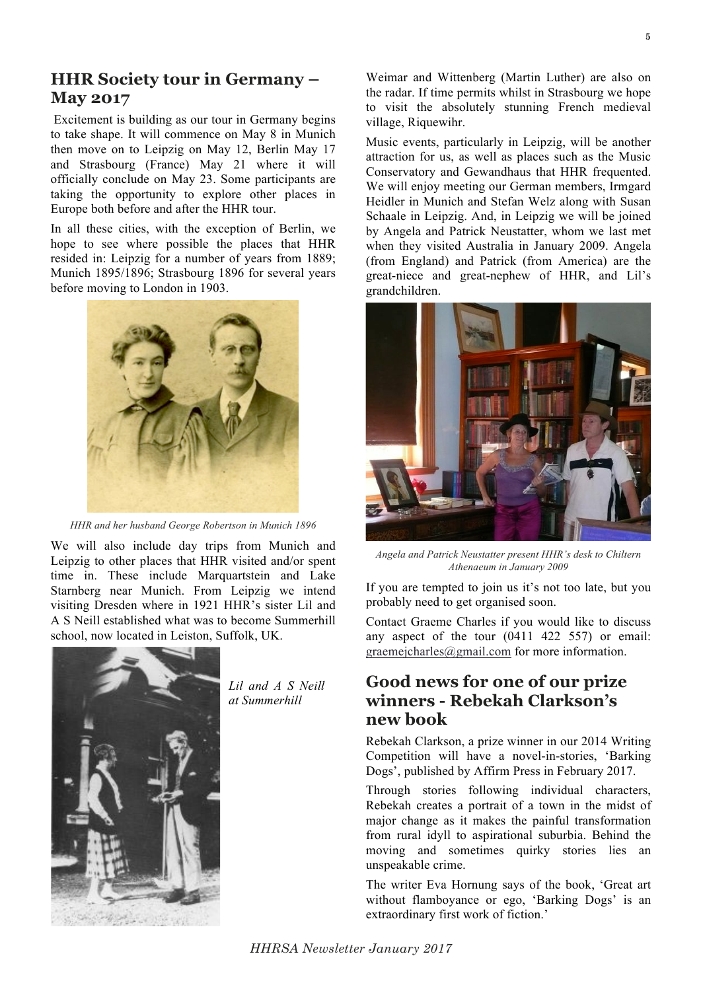## **HHR Society tour in Germany – May 2017**

Excitement is building as our tour in Germany begins to take shape. It will commence on May 8 in Munich then move on to Leipzig on May 12, Berlin May 17 and Strasbourg (France) May 21 where it will officially conclude on May 23. Some participants are taking the opportunity to explore other places in Europe both before and after the HHR tour.

In all these cities, with the exception of Berlin, we hope to see where possible the places that HHR resided in: Leipzig for a number of years from 1889; Munich 1895/1896; Strasbourg 1896 for several years before moving to London in 1903.



*HHR and her husband George Robertson in Munich 1896*

We will also include day trips from Munich and Leipzig to other places that HHR visited and/or spent time in. These include Marquartstein and Lake Starnberg near Munich. From Leipzig we intend visiting Dresden where in 1921 HHR's sister Lil and A S Neill established what was to become Summerhill school, now located in Leiston, Suffolk, UK.



*Lil and A S Neill at Summerhill*

Weimar and Wittenberg (Martin Luther) are also on the radar. If time permits whilst in Strasbourg we hope to visit the absolutely stunning French medieval village, Riquewihr.

Music events, particularly in Leipzig, will be another attraction for us, as well as places such as the Music Conservatory and Gewandhaus that HHR frequented. We will enjoy meeting our German members, Irmgard Heidler in Munich and Stefan Welz along with Susan Schaale in Leipzig. And, in Leipzig we will be joined by Angela and Patrick Neustatter, whom we last met when they visited Australia in January 2009. Angela (from England) and Patrick (from America) are the great-niece and great-nephew of HHR, and Lil's grandchildren.



*Angela and Patrick Neustatter present HHR's desk to Chiltern Athenaeum in January 2009*

If you are tempted to join us it's not too late, but you probably need to get organised soon.

Contact Graeme Charles if you would like to discuss any aspect of the tour (0411 422 557) or email: graemejcharles@gmail.com for more information.

## **Good news for one of our prize winners - Rebekah Clarkson's new book**

Rebekah Clarkson, a prize winner in our 2014 Writing Competition will have a novel-in-stories, 'Barking Dogs', published by Affirm Press in February 2017.

Through stories following individual characters, Rebekah creates a portrait of a town in the midst of major change as it makes the painful transformation from rural idyll to aspirational suburbia. Behind the moving and sometimes quirky stories lies an unspeakable crime.

The writer Eva Hornung says of the book, 'Great art without flamboyance or ego, 'Barking Dogs' is an extraordinary first work of fiction.'